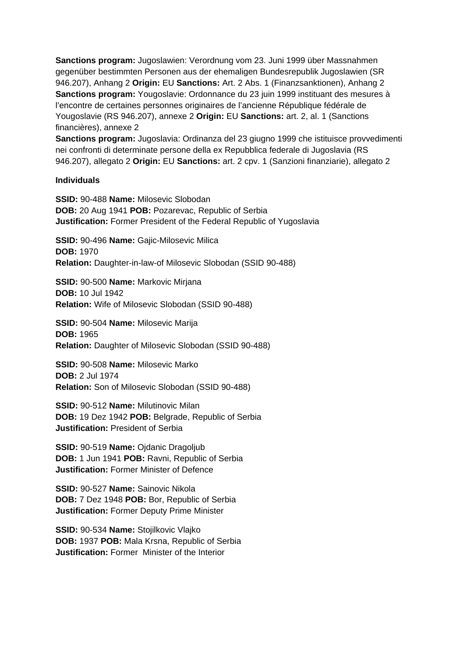**Sanctions program:** Jugoslawien: Verordnung vom 23. Juni 1999 über Massnahmen gegenüber bestimmten Personen aus der ehemaligen Bundesrepublik Jugoslawien (SR 946.207), Anhang 2 **Origin:** EU **Sanctions:** Art. 2 Abs. 1 (Finanzsanktionen), Anhang 2 **Sanctions program:** Yougoslavie: Ordonnance du 23 juin 1999 instituant des mesures à l'encontre de certaines personnes originaires de l'ancienne République fédérale de Yougoslavie (RS 946.207), annexe 2 **Origin:** EU **Sanctions:** art. 2, al. 1 (Sanctions financières), annexe 2

**Sanctions program:** Jugoslavia: Ordinanza del 23 giugno 1999 che istituisce provvedimenti nei confronti di determinate persone della ex Repubblica federale di Jugoslavia (RS 946.207), allegato 2 **Origin:** EU **Sanctions:** art. 2 cpv. 1 (Sanzioni finanziarie), allegato 2

## **Individuals**

**SSID:** 90-488 **Name:** Milosevic Slobodan **DOB:** 20 Aug 1941 **POB:** Pozarevac, Republic of Serbia **Justification:** Former President of the Federal Republic of Yugoslavia

**SSID:** 90-496 **Name:** Gajic-Milosevic Milica **DOB:** 1970 **Relation:** Daughter-in-law-of Milosevic Slobodan (SSID 90-488)

**SSID:** 90-500 **Name:** Markovic Mirjana **DOB:** 10 Jul 1942 **Relation:** Wife of Milosevic Slobodan (SSID 90-488)

**SSID:** 90-504 **Name:** Milosevic Marija **DOB:** 1965 **Relation:** Daughter of Milosevic Slobodan (SSID 90-488)

**SSID:** 90-508 **Name:** Milosevic Marko **DOB:** 2 Jul 1974 **Relation:** Son of Milosevic Slobodan (SSID 90-488)

**SSID:** 90-512 **Name:** Milutinovic Milan **DOB:** 19 Dez 1942 **POB:** Belgrade, Republic of Serbia **Justification:** President of Serbia

**SSID:** 90-519 **Name:** Ojdanic Dragoljub **DOB:** 1 Jun 1941 **POB:** Ravni, Republic of Serbia **Justification:** Former Minister of Defence

**SSID:** 90-527 **Name:** Sainovic Nikola **DOB:** 7 Dez 1948 **POB:** Bor, Republic of Serbia **Justification:** Former Deputy Prime Minister

**SSID:** 90-534 **Name:** Stojilkovic Vlajko **DOB:** 1937 **POB:** Mala Krsna, Republic of Serbia **Justification:** Former Minister of the Interior